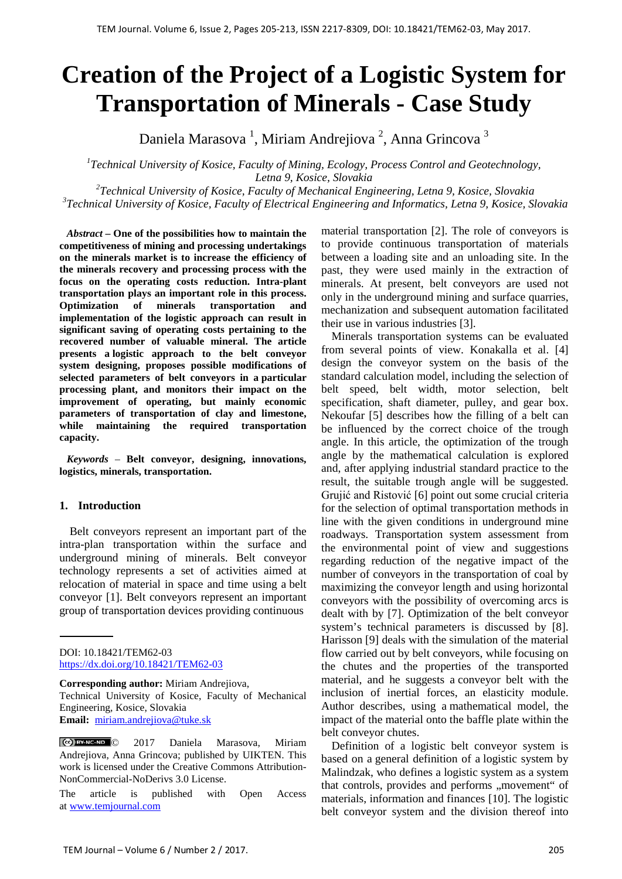# **Creation of the Project of a Logistic System for Transportation of Minerals - Case Study**

Daniela Marasova<sup>1</sup>, Miriam Andrejiova<sup>2</sup>, Anna Grincova<sup>3</sup>

*1 Technical University of Kosice, Faculty of Mining, Ecology, Process Control and Geotechnology, Letna 9, Kosice, Slovakia* 

*2 Technical University of Kosice, Faculty of Mechanical Engineering, Letna 9, Kosice, Slovakia 3 Technical University of Kosice, Faculty of Electrical Engineering and Informatics, Letna 9, Kosice, Slovakia* 

*Abstract –* **One of the possibilities how to maintain the competitiveness of mining and processing undertakings on the minerals market is to increase the efficiency of the minerals recovery and processing process with the focus on the operating costs reduction. Intra-plant transportation plays an important role in this process. Optimization of minerals transportation and implementation of the logistic approach can result in significant saving of operating costs pertaining to the recovered number of valuable mineral. The article presents a logistic approach to the belt conveyor system designing, proposes possible modifications of selected parameters of belt conveyors in a particular processing plant, and monitors their impact on the improvement of operating, but mainly economic parameters of transportation of clay and limestone, while maintaining the required transportation capacity.** 

*Keywords –* **Belt conveyor, designing, innovations, logistics, minerals, transportation.**

# **1. Introduction**

Belt conveyors represent an important part of the intra-plan transportation within the surface and underground mining of minerals. Belt conveyor technology represents a set of activities aimed at relocation of material in space and time using a belt conveyor [1]. Belt conveyors represent an important group of transportation devices providing continuous

DOI: 10.18421/TEM62-03 <https://dx.doi.org/10.18421/TEM62-03>

**Corresponding author:** Miriam Andrejiova,

Technical University of Kosice, Faculty of Mechanical Engineering, Kosice, Slovakia **Email:** miriam.andrejiova@tuke.sk

© 2017 Daniela Marasova, Miriam Andrejiova, Anna Grincova; published by UIKTEN. This work is licensed under the Creative Commons Attribution-NonCommercial-NoDerivs 3.0 License.

The article is published with Open Access a[t www.temjournal.com](http://www.temjournal.com/)

material transportation [2]. The role of conveyors is to provide continuous transportation of materials between a loading site and an unloading site. In the past, they were used mainly in the extraction of minerals. At present, belt conveyors are used not only in the underground mining and surface quarries, mechanization and subsequent automation facilitated their use in various industries [3].

Minerals transportation systems can be evaluated from several points of view. Konakalla et al. [4] design the conveyor system on the basis of the standard calculation model, including the selection of belt speed, belt width, motor selection, belt specification, shaft diameter, pulley, and gear box. Nekoufar [5] describes how the filling of a belt can be influenced by the correct choice of the trough angle. In this article, the optimization of the trough angle by the mathematical calculation is explored and, after applying industrial standard practice to the result, the suitable trough angle will be suggested. Grujić and Ristović [6] point out some crucial criteria for the selection of optimal transportation methods in line with the given conditions in underground mine roadways. Transportation system assessment from the environmental point of view and suggestions regarding reduction of the negative impact of the number of conveyors in the transportation of coal by maximizing the conveyor length and using horizontal conveyors with the possibility of overcoming arcs is dealt with by [7]. Optimization of the belt conveyor system's technical parameters is discussed by [8]. Harisson [9] deals with the simulation of the material flow carried out by belt conveyors, while focusing on the chutes and the properties of the transported material, and he suggests a conveyor belt with the inclusion of inertial forces, an elasticity module. Author describes, using a mathematical model, the impact of the material onto the baffle plate within the belt conveyor chutes.

Definition of a logistic belt conveyor system is based on a general definition of a logistic system by Malindzak, who defines a logistic system as a system that controls, provides and performs "movement" of materials, information and finances [10]. The logistic belt conveyor system and the division thereof into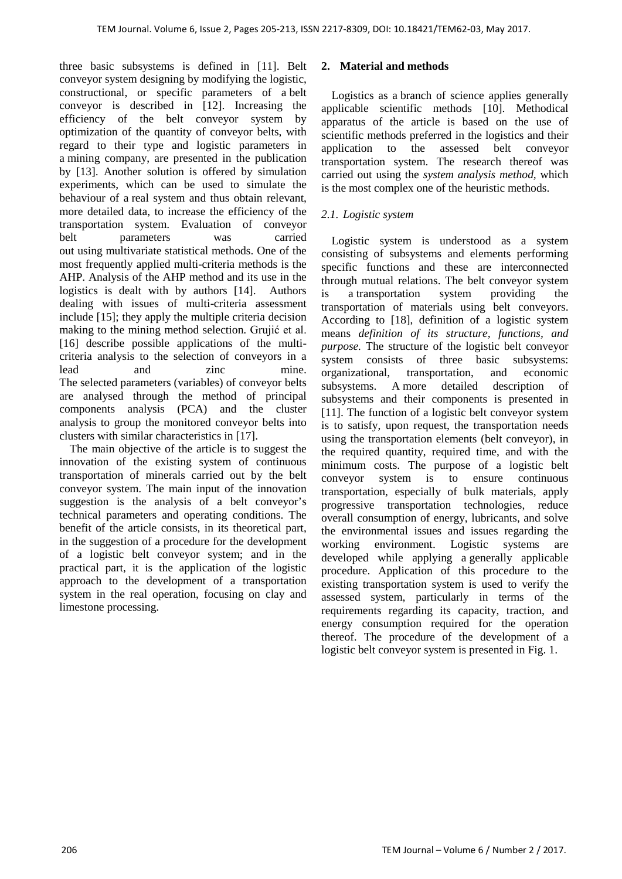three basic subsystems is defined in [11]. Belt conveyor system designing by modifying the logistic, constructional, or specific parameters of a belt conveyor is described in [12]. Increasing the efficiency of the belt conveyor system by optimization of the quantity of conveyor belts, with regard to their type and logistic parameters in a mining company, are presented in the publication by [13]. Another solution is offered by simulation experiments, which can be used to simulate the behaviour of a real system and thus obtain relevant, more detailed data, to increase the efficiency of the transportation system. Evaluation of conveyor belt parameters was carried out using multivariate statistical methods. One of the most frequently applied multi-criteria methods is the AHP. Analysis of the AHP method and its use in the logistics is dealt with by authors [14]. Authors dealing with issues of multi-criteria assessment include [15]; they apply the multiple criteria decision making to the mining method selection. Grujić et al. [16] describe possible applications of the multicriteria analysis to the selection of conveyors in a lead and zinc mine. The selected parameters (variables) of conveyor belts are analysed through the method of principal components analysis (PCA) and the cluster analysis to group the monitored conveyor belts into clusters with similar characteristics in [17].

The main objective of the article is to suggest the innovation of the existing system of continuous transportation of minerals carried out by the belt conveyor system. The main input of the innovation suggestion is the analysis of a belt conveyor's technical parameters and operating conditions. The benefit of the article consists, in its theoretical part, in the suggestion of a procedure for the development of a logistic belt conveyor system; and in the practical part, it is the application of the logistic approach to the development of a transportation system in the real operation, focusing on clay and limestone processing.

# **2. Material and methods**

Logistics as a branch of science applies generally applicable scientific methods [10]. Methodical apparatus of the article is based on the use of scientific methods preferred in the logistics and their application to the assessed belt conveyor transportation system. The research thereof was carried out using the *system analysis method,* which is the most complex one of the heuristic methods.

# *2.1. Logistic system*

Logistic system is understood as a system consisting of subsystems and elements performing specific functions and these are interconnected through mutual relations. The belt conveyor system is a transportation system providing the transportation of materials using belt conveyors. According to [18], definition of a logistic system means *definition of its structure, functions, and purpose.* The structure of the logistic belt conveyor system consists of three basic subsystems: organizational, transportation, and economic subsystems. A more detailed description of subsystems and their components is presented in [11]. The function of a logistic belt conveyor system is to satisfy, upon request, the transportation needs using the transportation elements (belt conveyor), in the required quantity, required time, and with the minimum costs. The purpose of a logistic belt conveyor system is to ensure continuous transportation, especially of bulk materials, apply progressive transportation technologies, reduce overall consumption of energy, lubricants, and solve the environmental issues and issues regarding the working environment. Logistic systems are developed while applying a generally applicable procedure. Application of this procedure to the existing transportation system is used to verify the assessed system, particularly in terms of the requirements regarding its capacity, traction, and energy consumption required for the operation thereof. The procedure of the development of a logistic belt conveyor system is presented in Fig. 1.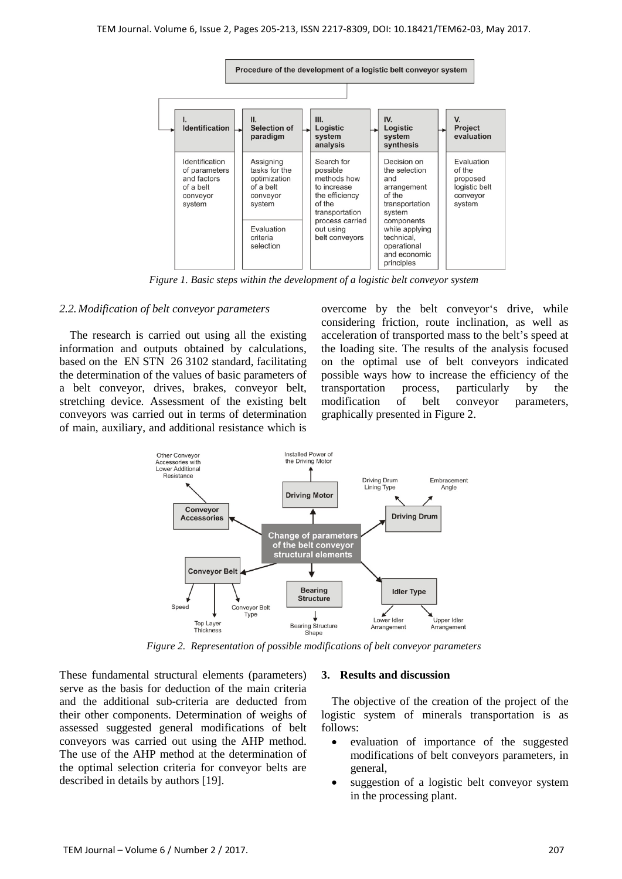

*Figure 1. Basic steps within the development of a logistic belt conveyor system*

#### *2.2.Modification of belt conveyor parameters*

The research is carried out using all the existing information and outputs obtained by calculations, based on the EN STN 26 3102 standard, facilitating the determination of the values of basic parameters of a belt conveyor, drives, brakes, conveyor belt, stretching device. Assessment of the existing belt conveyors was carried out in terms of determination of main, auxiliary, and additional resistance which is

overcome by the belt conveyor's drive, while considering friction, route inclination, as well as acceleration of transported mass to the belt's speed at the loading site. The results of the analysis focused on the optimal use of belt conveyors indicated possible ways how to increase the efficiency of the transportation process, particularly by the modification of belt conveyor parameters, graphically presented in Figure 2.



*Figure 2. Representation of possible modifications of belt conveyor parameters*

These fundamental structural elements (parameters) serve as the basis for deduction of the main criteria and the additional sub-criteria are deducted from their other components. Determination of weighs of assessed suggested general modifications of belt conveyors was carried out using the AHP method. The use of the AHP method at the determination of the optimal selection criteria for conveyor belts are described in details by authors [19].

#### **3. Results and discussion**

The objective of the creation of the project of the logistic system of minerals transportation is as follows:

- evaluation of importance of the suggested modifications of belt conveyors parameters, in general,
- suggestion of a logistic belt conveyor system in the processing plant.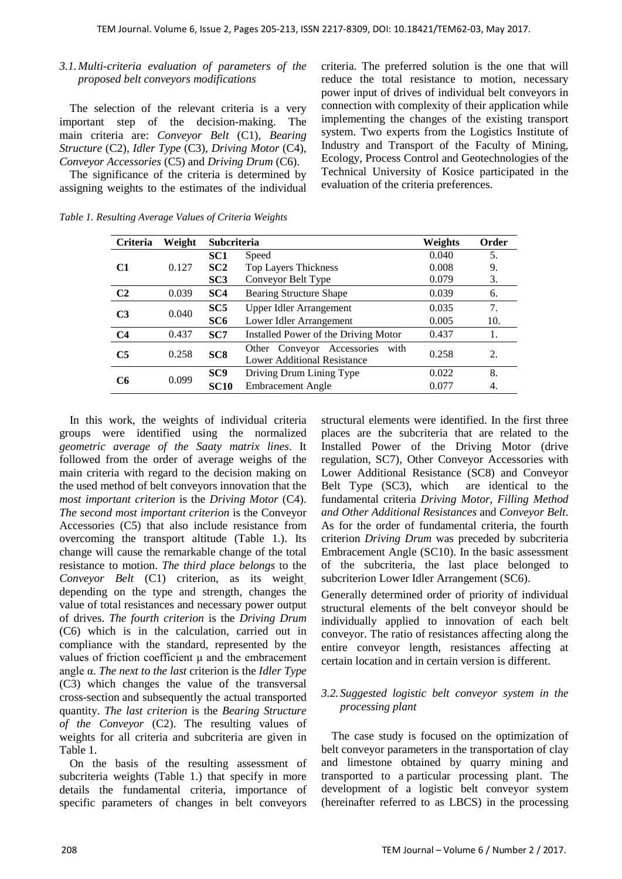# *3.1.Multi-criteria evaluation of parameters of the proposed belt conveyors modifications*

The selection of the relevant criteria is a very important step of the decision-making. The main criteria are: *Conveyor Belt* (C1), *Bearing Structure* (C2), *Idler Type* (C3), *Driving Motor* (C4), *Conveyor Accessories* (C5) and *Driving Drum* (C6).

The significance of the criteria is determined by assigning weights to the estimates of the individual criteria. The preferred solution is the one that will reduce the total resistance to motion, necessary power input of drives of individual belt conveyors in connection with complexity of their application while implementing the changes of the existing transport system. Two experts from the Logistics Institute of Industry and Transport of the Faculty of Mining, Ecology, Process Control and Geotechnologies of the Technical University of Kosice participated in the evaluation of the criteria preferences.

| Criteria       | Weight | <b>Subcriteria</b> |                                      | Weights | Order |
|----------------|--------|--------------------|--------------------------------------|---------|-------|
|                |        | SC <sub>1</sub>    | Speed                                | 0.040   | 5.    |
| C <sub>1</sub> | 0.127  | SC2                | <b>Top Layers Thickness</b>          | 0.008   | 9.    |
|                |        | SC3                | Conveyor Belt Type                   | 0.079   | 3.    |
| C <sub>2</sub> | 0.039  | SC <sub>4</sub>    | Bearing Structure Shape              | 0.039   | 6.    |
| C <sub>3</sub> | 0.040  | SC5                | Upper Idler Arrangement              | 0.035   | 7.    |
|                |        | SC <sub>6</sub>    | Lower Idler Arrangement              | 0.005   | 10.   |
| C <sub>4</sub> | 0.437  | SC7                | Installed Power of the Driving Motor | 0.437   | 1.    |
| C <sub>5</sub> | 0.258  | SC <sub>8</sub>    | Other Conveyor Accessories<br>with   | 0.258   | 2.    |
|                |        |                    | <b>Lower Additional Resistance</b>   |         |       |
| C6             | 0.099  | SC <sub>9</sub>    | Driving Drum Lining Type             | 0.022   | 8.    |
|                |        | <b>SC10</b>        | <b>Embracement Angle</b>             | 0.077   | 4.    |

*Table 1. Resulting Average Values of Criteria Weights*

In this work, the weights of individual criteria groups were identified using the normalized *geometric average of the Saaty matrix lines*. It followed from the order of average weighs of the main criteria with regard to the decision making on the used method of belt conveyors innovation that the *most important criterion* is the *Driving Motor* (C4). *The second most important criterion* is the Conveyor Accessories (C5) that also include resistance from overcoming the transport altitude (Table 1.). Its change will cause the remarkable change of the total resistance to motion. *The third place belongs* to the *Conveyor Belt* (C1) criterion, as its weight, depending on the type and strength, changes the value of total resistances and necessary power output of drives. *The fourth criterion* is the *Driving Drum* (C6) which is in the calculation, carried out in compliance with the standard, represented by the values of friction coefficient μ and the embracement angle α. *The next to the last* criterion is the *Idler Type* (C3) which changes the value of the transversal cross-section and subsequently the actual transported quantity. *The last criterion* is the *Bearing Structure of the Conveyor* (C2). The resulting values of weights for all criteria and subcriteria are given in Table 1.

On the basis of the resulting assessment of subcriteria weights (Table 1.) that specify in more details the fundamental criteria, importance of specific parameters of changes in belt conveyors

structural elements were identified. In the first three places are the subcriteria that are related to the Installed Power of the Driving Motor (drive regulation, SC7), Other Conveyor Accessories with Lower Additional Resistance (SC8) and Conveyor Belt Type (SC3), which are identical to the fundamental criteria *Driving Motor*, *Filling Method and Other Additional Resistances* and *Conveyor Belt*. As for the order of fundamental criteria, the fourth criterion *Driving Drum* was preceded by subcriteria Embracement Angle (SC10). In the basic assessment of the subcriteria, the last place belonged to subcriterion Lower Idler Arrangement (SC6).

Generally determined order of priority of individual structural elements of the belt conveyor should be individually applied to innovation of each belt conveyor. The ratio of resistances affecting along the entire conveyor length, resistances affecting at certain location and in certain version is different.

# *3.2. Suggested logistic belt conveyor system in the processing plant*

The case study is focused on the optimization of belt conveyor parameters in the transportation of clay and limestone obtained by quarry mining and transported to a particular processing plant. The development of a logistic belt conveyor system (hereinafter referred to as LBCS) in the processing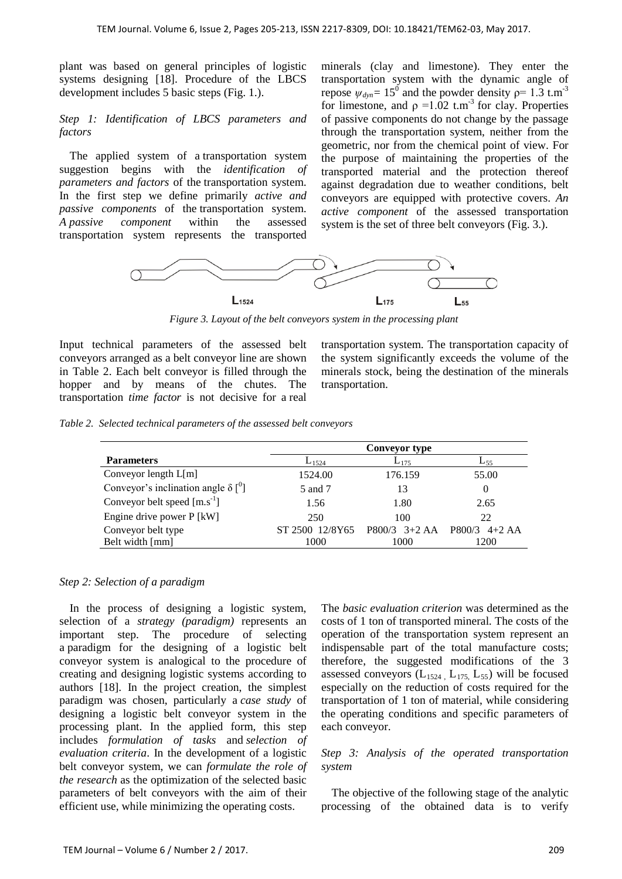plant was based on general principles of logistic systems designing [18]. Procedure of the LBCS development includes 5 basic steps (Fig. 1.).

#### *Step 1: Identification of LBCS parameters and factors*

The applied system of a transportation system suggestion begins with the *identification of parameters and factors* of the transportation system. In the first step we define primarily *active and passive components* of the transportation system. *A passive component* within the assessed transportation system represents the transported

minerals (clay and limestone). They enter the transportation system with the dynamic angle of repose  $\psi_{dyn} = 15^{\circ}$  and the powder density  $\rho = 1.3$  t.m<sup>-3</sup> for limestone, and  $\rho = 1.02$  t.m<sup>-3</sup> for clay. Properties of passive components do not change by the passage through the transportation system, neither from the geometric, nor from the chemical point of view. For the purpose of maintaining the properties of the transported material and the protection thereof against degradation due to weather conditions, belt conveyors are equipped with protective covers. *An active component* of the assessed transportation system is the set of three belt conveyors (Fig. 3.).



*Figure 3. Layout of the belt conveyors system in the processing plant* 

Input technical parameters of the assessed belt conveyors arranged as a belt conveyor line are shown in Table 2. Each belt conveyor is filled through the hopper and by means of the chutes. The transportation *time factor* is not decisive for a real

transportation system. The transportation capacity of the system significantly exceeds the volume of the minerals stock, being the destination of the minerals transportation.

*Table 2. Selected technical parameters of the assessed belt conveyors* 

|                                                        | <b>Conveyor type</b> |                 |                   |  |  |
|--------------------------------------------------------|----------------------|-----------------|-------------------|--|--|
| <b>Parameters</b>                                      | $L_{1524}$           | $L_{175}$       | $L_{55}$          |  |  |
| Conveyor length $L[m]$                                 | 1524.00              | 176.159         | 55.00             |  |  |
| Conveyor's inclination angle $\delta$ [ <sup>0</sup> ] | 5 and 7<br>13        |                 |                   |  |  |
| Conveyor belt speed $[m.s^{-1}]$                       | 1.56                 | 1.80            | 2.65              |  |  |
| Engine drive power P [kW]                              | 250                  | 100             | 22                |  |  |
| Conveyor belt type                                     | ST 2500 12/8Y65      | $P800/3$ 3+2 AA | $4+2AA$<br>P800/3 |  |  |
| Belt width [mm]                                        | 1000                 | 1000            | 1200              |  |  |

# *Step 2: Selection of a paradigm*

In the process of designing a logistic system, selection of a *strategy (paradigm)* represents an important step. The procedure of selecting a paradigm for the designing of a logistic belt conveyor system is analogical to the procedure of creating and designing logistic systems according to authors [18]. In the project creation, the simplest paradigm was chosen, particularly a *case study* of designing a logistic belt conveyor system in the processing plant. In the applied form, this step includes *formulation of tasks* and *selection of evaluation criteria*. In the development of a logistic belt conveyor system, we can *formulate the role of the research* as the optimization of the selected basic parameters of belt conveyors with the aim of their efficient use, while minimizing the operating costs.

The *basic evaluation criterion* was determined as the costs of 1 ton of transported mineral*.* The costs of the operation of the transportation system represent an indispensable part of the total manufacture costs; therefore, the suggested modifications of the 3 assessed conveyors  $(L_{1524}, L_{175}, L_{55})$  will be focused especially on the reduction of costs required for the transportation of 1 ton of material, while considering the operating conditions and specific parameters of each conveyor.

# *Step 3: Analysis of the operated transportation system*

The objective of the following stage of the analytic processing of the obtained data is to verify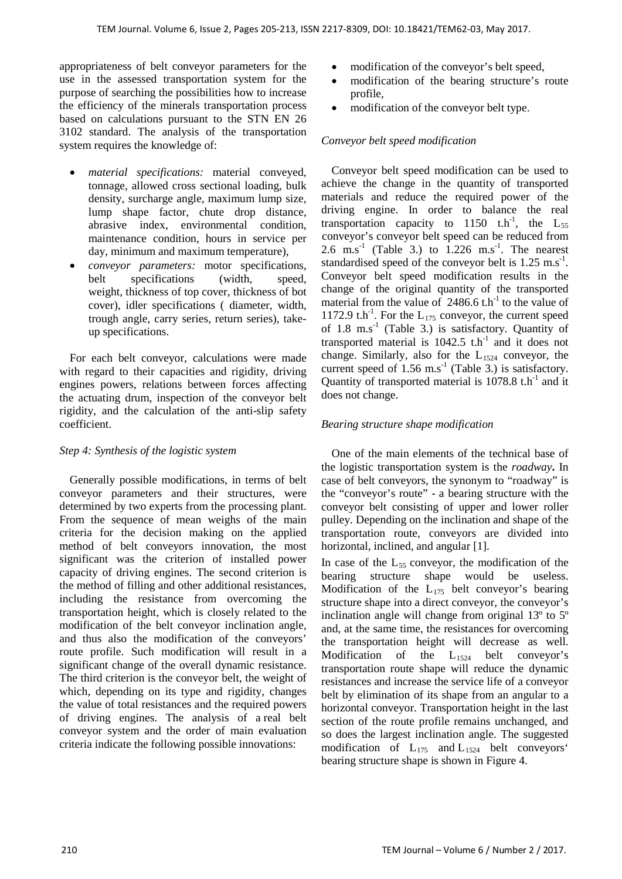appropriateness of belt conveyor parameters for the use in the assessed transportation system for the purpose of searching the possibilities how to increase the efficiency of the minerals transportation process based on calculations pursuant to the STN EN 26 3102 standard. The analysis of the transportation system requires the knowledge of:

- *material specifications:* material conveyed, tonnage, allowed cross sectional loading, bulk density, surcharge angle, maximum lump size, lump shape factor, chute drop distance, abrasive index, environmental condition, maintenance condition, hours in service per day, minimum and maximum temperature),
- *conveyor parameters:* motor specifications, belt specifications (width, speed, weight, thickness of top cover, thickness of bot cover), idler specifications ( diameter, width, trough angle, carry series, return series), takeup specifications.

For each belt conveyor, calculations were made with regard to their capacities and rigidity, driving engines powers, relations between forces affecting the actuating drum, inspection of the conveyor belt rigidity, and the calculation of the anti-slip safety coefficient.

# *Step 4: Synthesis of the logistic system*

Generally possible modifications, in terms of belt conveyor parameters and their structures, were determined by two experts from the processing plant. From the sequence of mean weighs of the main criteria for the decision making on the applied method of belt conveyors innovation, the most significant was the criterion of installed power capacity of driving engines. The second criterion is the method of filling and other additional resistances, including the resistance from overcoming the transportation height, which is closely related to the modification of the belt conveyor inclination angle, and thus also the modification of the conveyors' route profile. Such modification will result in a significant change of the overall dynamic resistance. The third criterion is the conveyor belt, the weight of which, depending on its type and rigidity, changes the value of total resistances and the required powers of driving engines. The analysis of a real belt conveyor system and the order of main evaluation criteria indicate the following possible innovations:

- modification of the conveyor's belt speed,
- modification of the bearing structure's route profile,
- modification of the conveyor belt type.

#### *Conveyor belt speed modification*

Conveyor belt speed modification can be used to achieve the change in the quantity of transported materials and reduce the required power of the driving engine. In order to balance the real transportation capacity to 1150  $t.h^{-1}$ , the  $L_{55}$ conveyor's conveyor belt speed can be reduced from 2.6 m.s<sup>-1</sup> (Table 3.) to  $1.226$  m.s<sup>-1</sup>. The nearest standardised speed of the conveyor belt is  $1.25 \text{ m.s}^{-1}$ . Conveyor belt speed modification results in the change of the original quantity of the transported material from the value of  $2486.6$  t.h<sup>-1</sup> to the value of 1172.9 t.h<sup>-1</sup>. For the  $L_{175}$  conveyor, the current speed of 1.8 m.s<sup>-1</sup> (Table 3.) is satisfactory. Quantity of transported material is  $1042.5$  t.h<sup>-1</sup> and it does not change. Similarly, also for the  $L_{1524}$  conveyor, the current speed of  $1.56 \text{ m.s}^{-1}$  (Table 3.) is satisfactory. Quantity of transported material is  $1078.8$  t.h<sup>-1</sup> and it does not change.

#### *Bearing structure shape modification*

One of the main elements of the technical base of the logistic transportation system is the *roadway***.** In case of belt conveyors, the synonym to "roadway" is the "conveyor's route" - a bearing structure with the conveyor belt consisting of upper and lower roller pulley. Depending on the inclination and shape of the transportation route, conveyors are divided into horizontal, inclined, and angular [1].

In case of the  $L_{55}$  conveyor, the modification of the bearing structure shape would be useless. Modification of the  $L_{175}$  belt conveyor's bearing structure shape into a direct conveyor, the conveyor's inclination angle will change from original 13º to 5º and, at the same time, the resistances for overcoming the transportation height will decrease as well. Modification of the  $L_{1524}$  belt conveyor's transportation route shape will reduce the dynamic resistances and increase the service life of a conveyor belt by elimination of its shape from an angular to a horizontal conveyor. Transportation height in the last section of the route profile remains unchanged, and so does the largest inclination angle. The suggested modification of  $L_{175}$  and  $L_{1524}$  belt conveyors' bearing structure shape is shown in Figure 4.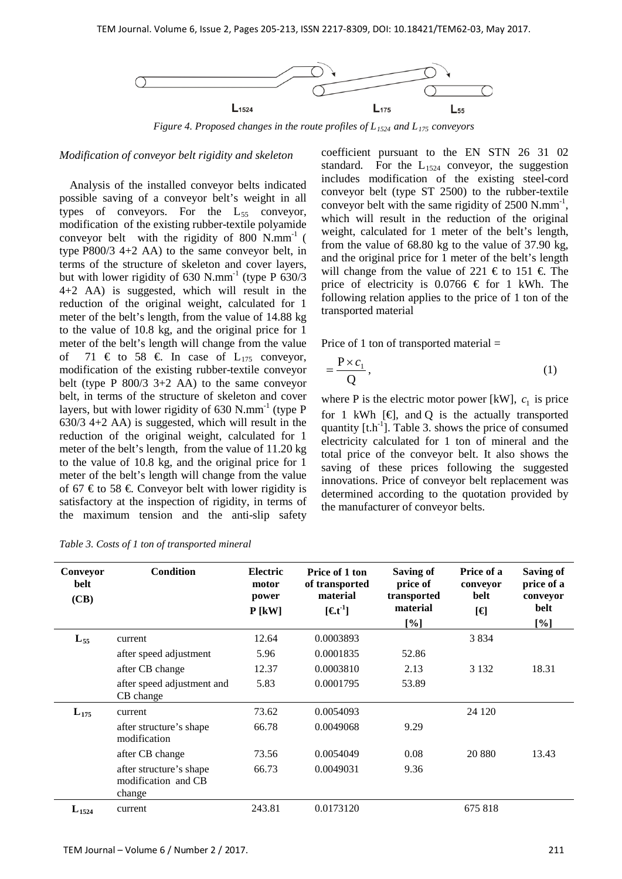

*Figure 4. Proposed changes in the route profiles of L1524 and L175 conveyors*

#### *Modification of conveyor belt rigidity and skeleton*

Analysis of the installed conveyor belts indicated possible saving of a conveyor belt's weight in all types of conveyors. For the  $L_{55}$  conveyor, modification of the existing rubber-textile polyamide conveyor belt with the rigidity of 800  $N/mm^{-1}$  ( type P800/3 4+2 AA) to the same conveyor belt, in terms of the structure of skeleton and cover layers, but with lower rigidity of  $630$  N.mm<sup>-1</sup> (type P  $630/3$ ) 4+2 AA) is suggested, which will result in the reduction of the original weight, calculated for 1 meter of the belt's length, from the value of 14.88 kg to the value of 10.8 kg, and the original price for 1 meter of the belt's length will change from the value of 71  $\in$  to 58  $\in$  In case of L<sub>175</sub> conveyor, modification of the existing rubber-textile conveyor belt (type P 800/3 3+2 AA) to the same conveyor belt, in terms of the structure of skeleton and cover layers, but with lower rigidity of  $630$  N.mm<sup>-1</sup> (type P) 630/3 4+2 AA) is suggested, which will result in the reduction of the original weight, calculated for 1 meter of the belt's length, from the value of 11.20 kg to the value of 10.8 kg, and the original price for 1 meter of the belt's length will change from the value of 67 € to 58 €. Conveyor belt with lower rigidity is satisfactory at the inspection of rigidity, in terms of the maximum tension and the anti-slip safety

coefficient pursuant to the EN STN 26 31 02 standard. For the  $L_{1524}$  conveyor, the suggestion includes modification of the existing steel-cord conveyor belt (type ST 2500) to the rubber-textile conveyor belt with the same rigidity of  $2500$  N.mm<sup>-1</sup>, which will result in the reduction of the original weight, calculated for 1 meter of the belt's length, from the value of 68.80 kg to the value of 37.90 kg, and the original price for 1 meter of the belt's length will change from the value of 221  $\epsilon$  to 151  $\epsilon$ . The price of electricity is 0.0766  $\in$  for 1 kWh. The following relation applies to the price of 1 ton of the transported material

Price of 1 ton of transported material =

$$
=\frac{P\times c_1}{Q},\tag{1}
$$

where P is the electric motor power [kW],  $c_1$  is price for 1 kWh  $[\n\in]$ , and Q is the actually transported quantity  $[t.h<sup>-1</sup>]$ . Table 3. shows the price of consumed electricity calculated for 1 ton of mineral and the total price of the conveyor belt. It also shows the saving of these prices following the suggested innovations. Price of conveyor belt replacement was determined according to the quotation provided by the manufacturer of conveyor belts.

| Conveyor<br>belt<br>(CB) | <b>Condition</b>                                         | <b>Electric</b><br>motor<br>power<br>$P$ [kW] | Price of 1 ton<br>of transported<br>material<br>$[Et^1]$ | <b>Saving of</b><br>price of<br>transported<br>material<br>[%] | Price of a<br>conveyor<br>belt<br>[€] | <b>Saving of</b><br>price of a<br>conveyor<br>belt<br>[%] |
|--------------------------|----------------------------------------------------------|-----------------------------------------------|----------------------------------------------------------|----------------------------------------------------------------|---------------------------------------|-----------------------------------------------------------|
| $L_{55}$                 | current                                                  | 12.64                                         | 0.0003893                                                |                                                                | 3834                                  |                                                           |
|                          | after speed adjustment                                   | 5.96                                          | 0.0001835                                                | 52.86                                                          |                                       |                                                           |
|                          | after CB change                                          | 12.37                                         | 0.0003810                                                | 2.13                                                           | 3 1 3 2                               | 18.31                                                     |
|                          | after speed adjustment and<br>CB change                  | 5.83                                          | 0.0001795                                                | 53.89                                                          |                                       |                                                           |
| $L_{175}$                | current                                                  | 73.62                                         | 0.0054093                                                |                                                                | 24 1 20                               |                                                           |
|                          | after structure's shape<br>modification                  | 66.78                                         | 0.0049068                                                | 9.29                                                           |                                       |                                                           |
|                          | after CB change                                          | 73.56                                         | 0.0054049                                                | 0.08                                                           | 20 880                                | 13.43                                                     |
|                          | after structure's shape<br>modification and CB<br>change | 66.73                                         | 0.0049031                                                | 9.36                                                           |                                       |                                                           |
| $L_{1524}$               | current                                                  | 243.81                                        | 0.0173120                                                |                                                                | 675 818                               |                                                           |

*Table 3. Costs of 1 ton of transported mineral*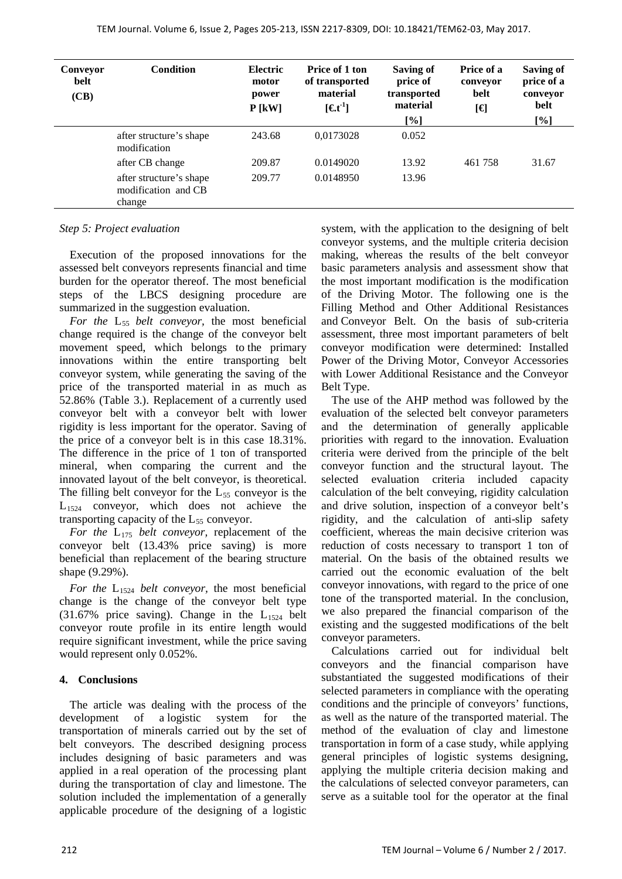| Conveyor<br>belt<br>(CB) | <b>Condition</b>                                         | <b>Electric</b><br>motor<br>power<br>$P$ [kW] | Price of 1 ton<br>of transported<br>material<br>$[$ <b>\et</b> <sup>1</sup> $]$ | Saving of<br>price of<br>transported<br>material<br>$[\%]$ | Price of a<br>conveyor<br>belt<br>[€] | Saving of<br>price of a<br>conveyor<br><b>belt</b><br>$[\%]$ |
|--------------------------|----------------------------------------------------------|-----------------------------------------------|---------------------------------------------------------------------------------|------------------------------------------------------------|---------------------------------------|--------------------------------------------------------------|
|                          | after structure's shape<br>modification                  | 243.68                                        | 0,0173028                                                                       | 0.052                                                      |                                       |                                                              |
|                          | after CB change                                          | 209.87                                        | 0.0149020                                                                       | 13.92                                                      | 461 758                               | 31.67                                                        |
|                          | after structure's shape<br>modification and CB<br>change | 209.77                                        | 0.0148950                                                                       | 13.96                                                      |                                       |                                                              |

# *Step 5: Project evaluation*

Execution of the proposed innovations for the assessed belt conveyors represents financial and time burden for the operator thereof. The most beneficial steps of the LBCS designing procedure are summarized in the suggestion evaluation.

*For the* L<sub>55</sub> *belt conveyor*, the most beneficial change required is the change of the conveyor belt movement speed, which belongs to the primary innovations within the entire transporting belt conveyor system, while generating the saving of the price of the transported material in as much as 52.86% (Table 3.). Replacement of a currently used conveyor belt with a conveyor belt with lower rigidity is less important for the operator. Saving of the price of a conveyor belt is in this case 18.31%. The difference in the price of 1 ton of transported mineral, when comparing the current and the innovated layout of the belt conveyor, is theoretical. The filling belt conveyor for the  $L_{55}$  conveyor is the  $L_{1524}$  conveyor, which does not achieve the transporting capacity of the  $L_{55}$  conveyor.

*For the* L175 *belt conveyor,* replacement of the conveyor belt (13.43% price saving) is more beneficial than replacement of the bearing structure shape (9.29%).

*For the* L1524 *belt conveyor,* the most beneficial change is the change of the conveyor belt type  $(31.67\%$  price saving). Change in the  $L_{1524}$  belt conveyor route profile in its entire length would require significant investment, while the price saving would represent only 0.052%.

# **4. Conclusions**

The article was dealing with the process of the development of a logistic system for the transportation of minerals carried out by the set of belt conveyors. The described designing process includes designing of basic parameters and was applied in a real operation of the processing plant during the transportation of clay and limestone. The solution included the implementation of a generally applicable procedure of the designing of a logistic system, with the application to the designing of belt conveyor systems, and the multiple criteria decision making, whereas the results of the belt conveyor basic parameters analysis and assessment show that the most important modification is the modification of the Driving Motor. The following one is the Filling Method and Other Additional Resistances and Conveyor Belt. On the basis of sub-criteria assessment, three most important parameters of belt conveyor modification were determined: Installed Power of the Driving Motor, Conveyor Accessories with Lower Additional Resistance and the Conveyor Belt Type.

The use of the AHP method was followed by the evaluation of the selected belt conveyor parameters and the determination of generally applicable priorities with regard to the innovation. Evaluation criteria were derived from the principle of the belt conveyor function and the structural layout. The selected evaluation criteria included capacity calculation of the belt conveying, rigidity calculation and drive solution, inspection of a conveyor belt's rigidity, and the calculation of anti-slip safety coefficient, whereas the main decisive criterion was reduction of costs necessary to transport 1 ton of material. On the basis of the obtained results we carried out the economic evaluation of the belt conveyor innovations, with regard to the price of one tone of the transported material. In the conclusion, we also prepared the financial comparison of the existing and the suggested modifications of the belt conveyor parameters.

Calculations carried out for individual belt conveyors and the financial comparison have substantiated the suggested modifications of their selected parameters in compliance with the operating conditions and the principle of conveyors' functions, as well as the nature of the transported material. The method of the evaluation of clay and limestone transportation in form of a case study, while applying general principles of logistic systems designing, applying the multiple criteria decision making and the calculations of selected conveyor parameters, can serve as a suitable tool for the operator at the final